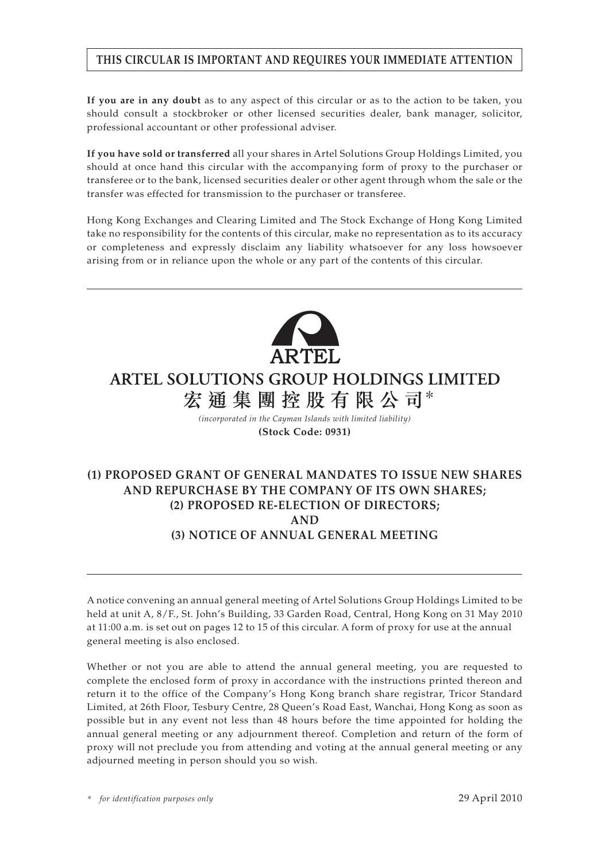# **THIS CIRCULAR IS IMPORTANT AND REQUIRES YOUR IMMEDIATE ATTENTION**

**If you are in any doubt** as to any aspect of this circular or as to the action to be taken, you should consult a stockbroker or other licensed securities dealer, bank manager, solicitor, professional accountant or other professional adviser.

**If you have sold or transferred** all your shares in Artel Solutions Group Holdings Limited, you should at once hand this circular with the accompanying form of proxy to the purchaser or transferee or to the bank, licensed securities dealer or other agent through whom the sale or the transfer was effected for transmission to the purchaser or transferee.

Hong Kong Exchanges and Clearing Limited and The Stock Exchange of Hong Kong Limited take no responsibility for the contents of this circular, make no representation as to its accuracy or completeness and expressly disclaim any liability whatsoever for any loss howsoever arising from or in reliance upon the whole or any part of the contents of this circular.



# **ARTEL SOLUTIONS GROUP HOLDINGS LIMITED** 宏通集團控股有限公司\*

*(incorporated in the Cayman Islands with limited liability)* **(Stock Code: 0931)**

# **(1) PROPOSED GRANT OF GENERAL MANDATES TO ISSUE NEW SHARES AND REPURCHASE BY THE COMPANY OF ITS OWN SHARES; (2) PROPOSED RE-ELECTION OF DIRECTORS; AND (3) NOTICE OF ANNUAL GENERAL MEETING**

A notice convening an annual general meeting of Artel Solutions Group Holdings Limited to be held at unit A, 8/F., St. John's Building, 33 Garden Road, Central, Hong Kong on 31 May 2010 at 11:00 a.m. is set out on pages 12 to 15 of this circular. A form of proxy for use at the annual general meeting is also enclosed.

Whether or not you are able to attend the annual general meeting, you are requested to complete the enclosed form of proxy in accordance with the instructions printed thereon and return it to the office of the Company's Hong Kong branch share registrar, Tricor Standard Limited, at 26th Floor, Tesbury Centre, 28 Queen's Road East, Wanchai, Hong Kong as soon as possible but in any event not less than 48 hours before the time appointed for holding the annual general meeting or any adjournment thereof. Completion and return of the form of proxy will not preclude you from attending and voting at the annual general meeting or any adjourned meeting in person should you so wish.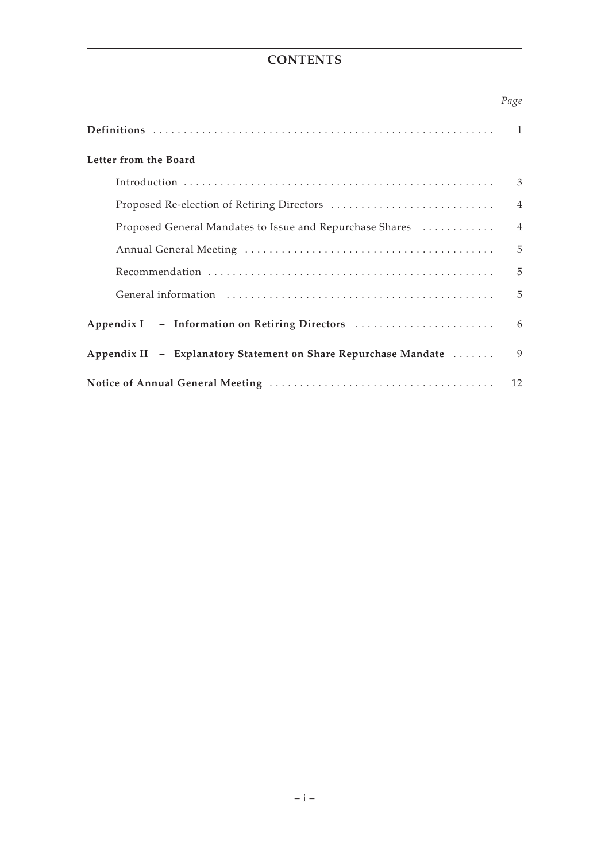# **CONTENTS**

# *Page*

|                                                                 | $\mathbf{1}$   |
|-----------------------------------------------------------------|----------------|
| Letter from the Board                                           |                |
|                                                                 | 3              |
| Proposed Re-election of Retiring Directors                      | $\overline{4}$ |
| Proposed General Mandates to Issue and Repurchase Shares        | $\overline{4}$ |
|                                                                 | 5              |
|                                                                 | 5              |
|                                                                 | 5              |
| Appendix I - Information on Retiring Directors                  | 6              |
| Appendix II - Explanatory Statement on Share Repurchase Mandate | 9              |
|                                                                 | 12             |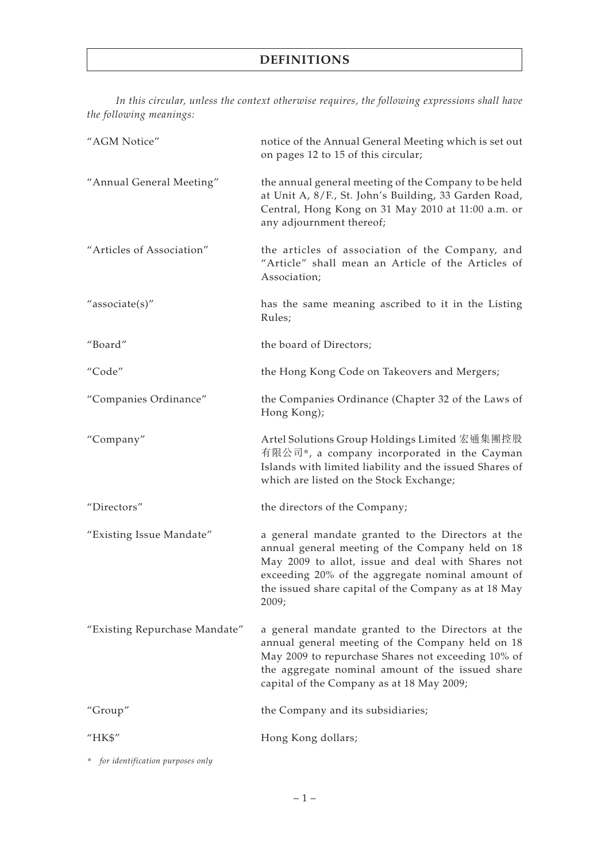*In this circular, unless the context otherwise requires, the following expressions shall have the following meanings:*

| "AGM Notice"                  | notice of the Annual General Meeting which is set out<br>on pages 12 to 15 of this circular;                                                                                                                                                                                    |
|-------------------------------|---------------------------------------------------------------------------------------------------------------------------------------------------------------------------------------------------------------------------------------------------------------------------------|
| "Annual General Meeting"      | the annual general meeting of the Company to be held<br>at Unit A, 8/F., St. John's Building, 33 Garden Road,<br>Central, Hong Kong on 31 May 2010 at 11:00 a.m. or<br>any adjournment thereof;                                                                                 |
| "Articles of Association"     | the articles of association of the Company, and<br>"Article" shall mean an Article of the Articles of<br>Association;                                                                                                                                                           |
| "associate(s)"                | has the same meaning ascribed to it in the Listing<br>Rules;                                                                                                                                                                                                                    |
| "Board"                       | the board of Directors;                                                                                                                                                                                                                                                         |
| "Code"                        | the Hong Kong Code on Takeovers and Mergers;                                                                                                                                                                                                                                    |
| "Companies Ordinance"         | the Companies Ordinance (Chapter 32 of the Laws of<br>Hong Kong);                                                                                                                                                                                                               |
| "Company"                     | Artel Solutions Group Holdings Limited 宏通集團控股<br>有限公司*, a company incorporated in the Cayman<br>Islands with limited liability and the issued Shares of<br>which are listed on the Stock Exchange;                                                                              |
| "Directors"                   | the directors of the Company;                                                                                                                                                                                                                                                   |
| "Existing Issue Mandate"      | a general mandate granted to the Directors at the<br>annual general meeting of the Company held on 18<br>May 2009 to allot, issue and deal with Shares not<br>exceeding 20% of the aggregate nominal amount of<br>the issued share capital of the Company as at 18 May<br>2009; |
| "Existing Repurchase Mandate" | a general mandate granted to the Directors at the<br>annual general meeting of the Company held on 18<br>May 2009 to repurchase Shares not exceeding 10% of<br>the aggregate nominal amount of the issued share<br>capital of the Company as at 18 May 2009;                    |
| "Group"                       | the Company and its subsidiaries;                                                                                                                                                                                                                                               |
| "HK\$"                        | Hong Kong dollars;                                                                                                                                                                                                                                                              |

*\* for identification purposes only*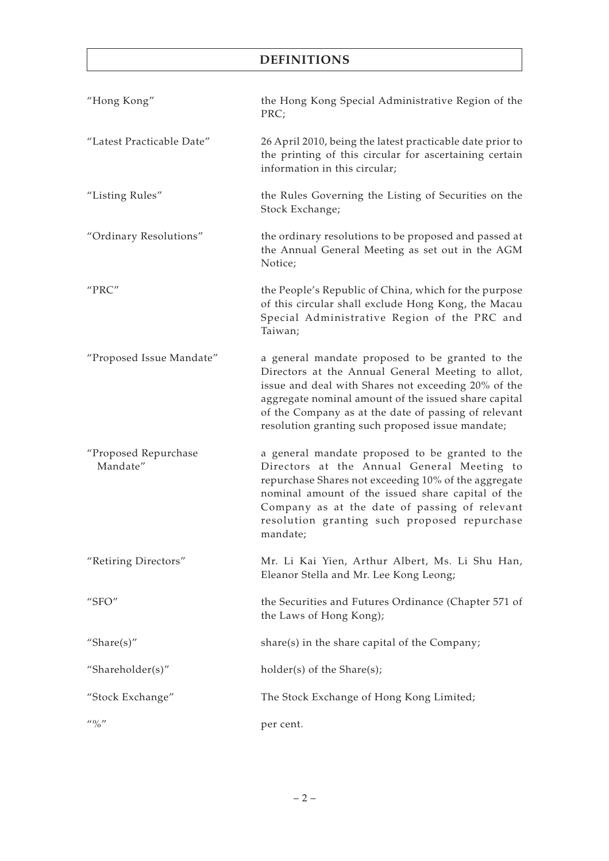# **DEFINITIONS**

| "Hong Kong"                      | the Hong Kong Special Administrative Region of the<br>PRC;                                                                                                                                                                                                                                                                      |
|----------------------------------|---------------------------------------------------------------------------------------------------------------------------------------------------------------------------------------------------------------------------------------------------------------------------------------------------------------------------------|
| "Latest Practicable Date"        | 26 April 2010, being the latest practicable date prior to<br>the printing of this circular for ascertaining certain<br>information in this circular;                                                                                                                                                                            |
| "Listing Rules"                  | the Rules Governing the Listing of Securities on the<br>Stock Exchange;                                                                                                                                                                                                                                                         |
| "Ordinary Resolutions"           | the ordinary resolutions to be proposed and passed at<br>the Annual General Meeting as set out in the AGM<br>Notice;                                                                                                                                                                                                            |
| "PRC"                            | the People's Republic of China, which for the purpose<br>of this circular shall exclude Hong Kong, the Macau<br>Special Administrative Region of the PRC and<br>Taiwan;                                                                                                                                                         |
| "Proposed Issue Mandate"         | a general mandate proposed to be granted to the<br>Directors at the Annual General Meeting to allot,<br>issue and deal with Shares not exceeding 20% of the<br>aggregate nominal amount of the issued share capital<br>of the Company as at the date of passing of relevant<br>resolution granting such proposed issue mandate; |
| "Proposed Repurchase<br>Mandate" | a general mandate proposed to be granted to the<br>Directors at the Annual General Meeting to<br>repurchase Shares not exceeding 10% of the aggregate<br>nominal amount of the issued share capital of the<br>Company as at the date of passing of relevant<br>resolution granting such proposed repurchase<br>mandate;         |
| "Retiring Directors"             | Mr. Li Kai Yien, Arthur Albert, Ms. Li Shu Han,<br>Eleanor Stella and Mr. Lee Kong Leong;                                                                                                                                                                                                                                       |
| " $SFO"$                         | the Securities and Futures Ordinance (Chapter 571 of<br>the Laws of Hong Kong);                                                                                                                                                                                                                                                 |
| "Share $(s)$ "                   | share(s) in the share capital of the Company;                                                                                                                                                                                                                                                                                   |
| "Shareholder(s)"                 | holder(s) of the Share(s);                                                                                                                                                                                                                                                                                                      |
| "Stock Exchange"                 | The Stock Exchange of Hong Kong Limited;                                                                                                                                                                                                                                                                                        |
| $\frac{1}{10}$ $\frac{1}{10}$    | per cent.                                                                                                                                                                                                                                                                                                                       |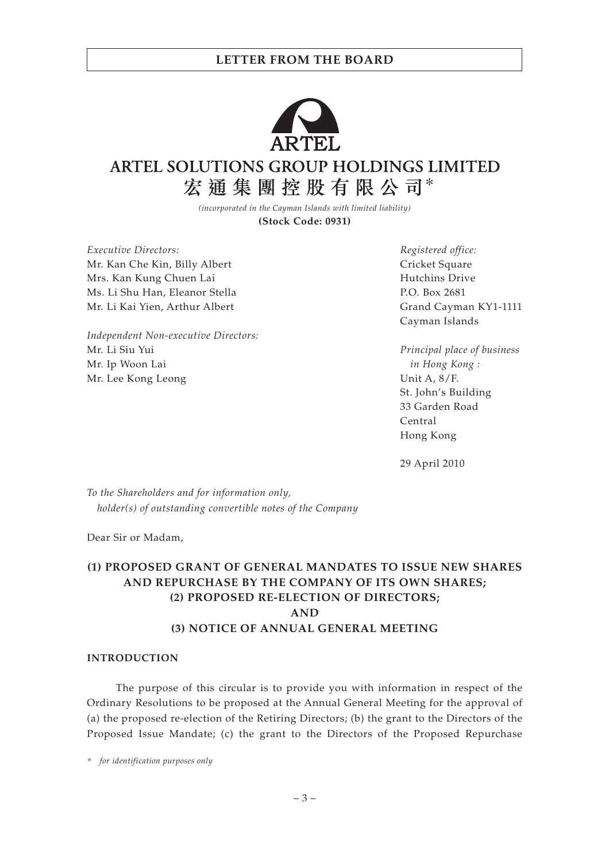### **LETTER FROM THE BOARD**



# ARTEL SOLUTIONS GROUP HOLDINGS LIMITED 宏通集團控股有限公司\*

*(incorporated in the Cayman Islands with limited liability)* **(Stock Code: 0931)**

*Executive Directors:* Mr. Kan Che Kin, Billy Albert Mrs. Kan Kung Chuen Lai Ms. Li Shu Han, Eleanor Stella Mr. Li Kai Yien, Arthur Albert

*Independent Non-executive Directors:* Mr. Li Siu Yui Mr. Ip Woon Lai Mr. Lee Kong Leong

*Registered office:* Cricket Square Hutchins Drive P.O. Box 2681 Grand Cayman KY1-1111 Cayman Islands

*Principal place of business in Hong Kong :* Unit A, 8/F. St. John's Building 33 Garden Road Central Hong Kong

29 April 2010

*To the Shareholders and for information only, holder(s) of outstanding convertible notes of the Company*

Dear Sir or Madam,

## **(1) PROPOSED GRANT OF GENERAL MANDATES TO ISSUE NEW SHARES AND REPURCHASE BY THE COMPANY OF ITS OWN SHARES; (2) PROPOSED RE-ELECTION OF DIRECTORS; AND (3) NOTICE OF ANNUAL GENERAL MEETING**

#### **INTRODUCTION**

The purpose of this circular is to provide you with information in respect of the Ordinary Resolutions to be proposed at the Annual General Meeting for the approval of (a) the proposed re-election of the Retiring Directors; (b) the grant to the Directors of the Proposed Issue Mandate; (c) the grant to the Directors of the Proposed Repurchase

*\* for identification purposes only*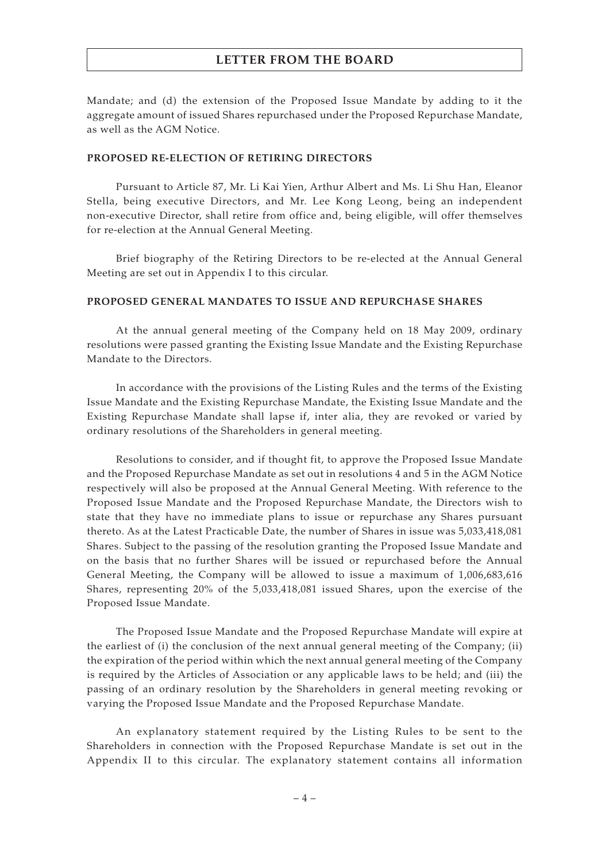### **LETTER FROM THE BOARD**

Mandate; and (d) the extension of the Proposed Issue Mandate by adding to it the aggregate amount of issued Shares repurchased under the Proposed Repurchase Mandate, as well as the AGM Notice.

#### **PROPOSED RE-ELECTION OF RETIRING DIRECTORS**

Pursuant to Article 87, Mr. Li Kai Yien, Arthur Albert and Ms. Li Shu Han, Eleanor Stella, being executive Directors, and Mr. Lee Kong Leong, being an independent non-executive Director, shall retire from office and, being eligible, will offer themselves for re-election at the Annual General Meeting.

Brief biography of the Retiring Directors to be re-elected at the Annual General Meeting are set out in Appendix I to this circular.

#### **PROPOSED GENERAL MANDATES TO ISSUE AND REPURCHASE SHARES**

At the annual general meeting of the Company held on 18 May 2009, ordinary resolutions were passed granting the Existing Issue Mandate and the Existing Repurchase Mandate to the Directors.

In accordance with the provisions of the Listing Rules and the terms of the Existing Issue Mandate and the Existing Repurchase Mandate, the Existing Issue Mandate and the Existing Repurchase Mandate shall lapse if, inter alia, they are revoked or varied by ordinary resolutions of the Shareholders in general meeting.

Resolutions to consider, and if thought fit, to approve the Proposed Issue Mandate and the Proposed Repurchase Mandate as set out in resolutions 4 and 5 in the AGM Notice respectively will also be proposed at the Annual General Meeting. With reference to the Proposed Issue Mandate and the Proposed Repurchase Mandate, the Directors wish to state that they have no immediate plans to issue or repurchase any Shares pursuant thereto. As at the Latest Practicable Date, the number of Shares in issue was 5,033,418,081 Shares. Subject to the passing of the resolution granting the Proposed Issue Mandate and on the basis that no further Shares will be issued or repurchased before the Annual General Meeting, the Company will be allowed to issue a maximum of 1,006,683,616 Shares, representing 20% of the 5,033,418,081 issued Shares, upon the exercise of the Proposed Issue Mandate.

The Proposed Issue Mandate and the Proposed Repurchase Mandate will expire at the earliest of (i) the conclusion of the next annual general meeting of the Company; (ii) the expiration of the period within which the next annual general meeting of the Company is required by the Articles of Association or any applicable laws to be held; and (iii) the passing of an ordinary resolution by the Shareholders in general meeting revoking or varying the Proposed Issue Mandate and the Proposed Repurchase Mandate.

An explanatory statement required by the Listing Rules to be sent to the Shareholders in connection with the Proposed Repurchase Mandate is set out in the Appendix II to this circular. The explanatory statement contains all information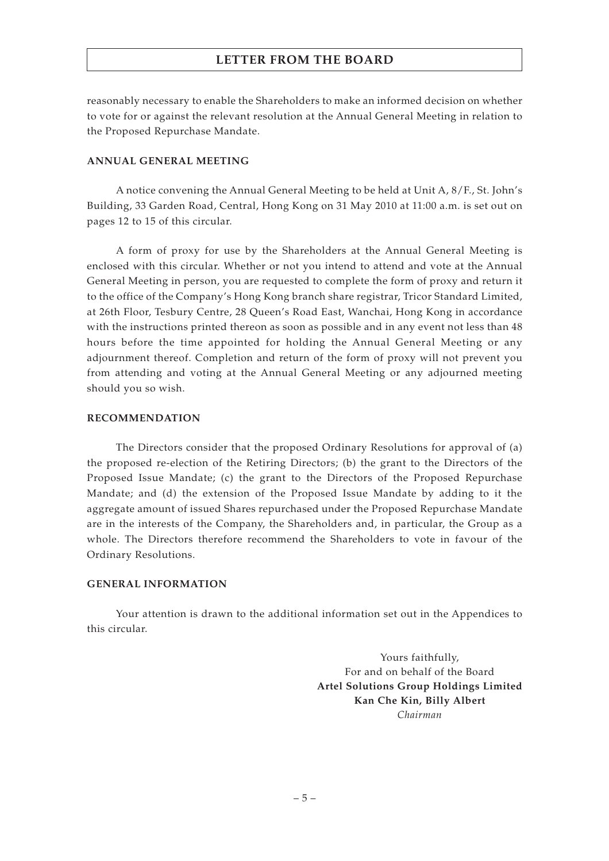## **LETTER FROM THE BOARD**

reasonably necessary to enable the Shareholders to make an informed decision on whether to vote for or against the relevant resolution at the Annual General Meeting in relation to the Proposed Repurchase Mandate.

### **ANNUAL GENERAL MEETING**

A notice convening the Annual General Meeting to be held at Unit A, 8/F., St. John's Building, 33 Garden Road, Central, Hong Kong on 31 May 2010 at 11:00 a.m. is set out on pages 12 to 15 of this circular.

A form of proxy for use by the Shareholders at the Annual General Meeting is enclosed with this circular. Whether or not you intend to attend and vote at the Annual General Meeting in person, you are requested to complete the form of proxy and return it to the office of the Company's Hong Kong branch share registrar, Tricor Standard Limited, at 26th Floor, Tesbury Centre, 28 Queen's Road East, Wanchai, Hong Kong in accordance with the instructions printed thereon as soon as possible and in any event not less than 48 hours before the time appointed for holding the Annual General Meeting or any adjournment thereof. Completion and return of the form of proxy will not prevent you from attending and voting at the Annual General Meeting or any adjourned meeting should you so wish.

### **RECOMMENDATION**

The Directors consider that the proposed Ordinary Resolutions for approval of (a) the proposed re-election of the Retiring Directors; (b) the grant to the Directors of the Proposed Issue Mandate; (c) the grant to the Directors of the Proposed Repurchase Mandate; and (d) the extension of the Proposed Issue Mandate by adding to it the aggregate amount of issued Shares repurchased under the Proposed Repurchase Mandate are in the interests of the Company, the Shareholders and, in particular, the Group as a whole. The Directors therefore recommend the Shareholders to vote in favour of the Ordinary Resolutions.

### **GENERAL INFORMATION**

Your attention is drawn to the additional information set out in the Appendices to this circular.

> Yours faithfully, For and on behalf of the Board **Artel Solutions Group Holdings Limited Kan Che Kin, Billy Albert** *Chairman*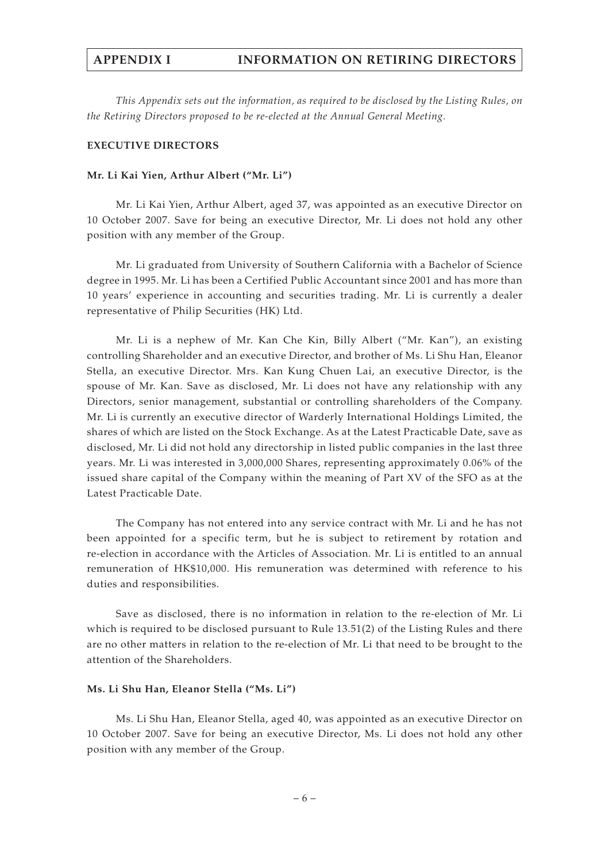## **APPENDIX I INFORMATION ON RETIRING DIRECTORS**

*This Appendix sets out the information, as required to be disclosed by the Listing Rules, on the Retiring Directors proposed to be re-elected at the Annual General Meeting.*

#### **EXECUTIVE DIRECTORS**

#### **Mr. Li Kai Yien, Arthur Albert ("Mr. Li")**

Mr. Li Kai Yien, Arthur Albert, aged 37, was appointed as an executive Director on 10 October 2007. Save for being an executive Director, Mr. Li does not hold any other position with any member of the Group.

Mr. Li graduated from University of Southern California with a Bachelor of Science degree in 1995. Mr. Li has been a Certified Public Accountant since 2001 and has more than 10 years' experience in accounting and securities trading. Mr. Li is currently a dealer representative of Philip Securities (HK) Ltd.

Mr. Li is a nephew of Mr. Kan Che Kin, Billy Albert ("Mr. Kan"), an existing controlling Shareholder and an executive Director, and brother of Ms. Li Shu Han, Eleanor Stella, an executive Director. Mrs. Kan Kung Chuen Lai, an executive Director, is the spouse of Mr. Kan. Save as disclosed, Mr. Li does not have any relationship with any Directors, senior management, substantial or controlling shareholders of the Company. Mr. Li is currently an executive director of Warderly International Holdings Limited, the shares of which are listed on the Stock Exchange. As at the Latest Practicable Date, save as disclosed, Mr. Li did not hold any directorship in listed public companies in the last three years. Mr. Li was interested in 3,000,000 Shares, representing approximately 0.06% of the issued share capital of the Company within the meaning of Part XV of the SFO as at the Latest Practicable Date.

The Company has not entered into any service contract with Mr. Li and he has not been appointed for a specific term, but he is subject to retirement by rotation and re-election in accordance with the Articles of Association. Mr. Li is entitled to an annual remuneration of HK\$10,000. His remuneration was determined with reference to his duties and responsibilities.

Save as disclosed, there is no information in relation to the re-election of Mr. Li which is required to be disclosed pursuant to Rule 13.51(2) of the Listing Rules and there are no other matters in relation to the re-election of Mr. Li that need to be brought to the attention of the Shareholders.

#### **Ms. Li Shu Han, Eleanor Stella ("Ms. Li")**

Ms. Li Shu Han, Eleanor Stella, aged 40, was appointed as an executive Director on 10 October 2007. Save for being an executive Director, Ms. Li does not hold any other position with any member of the Group.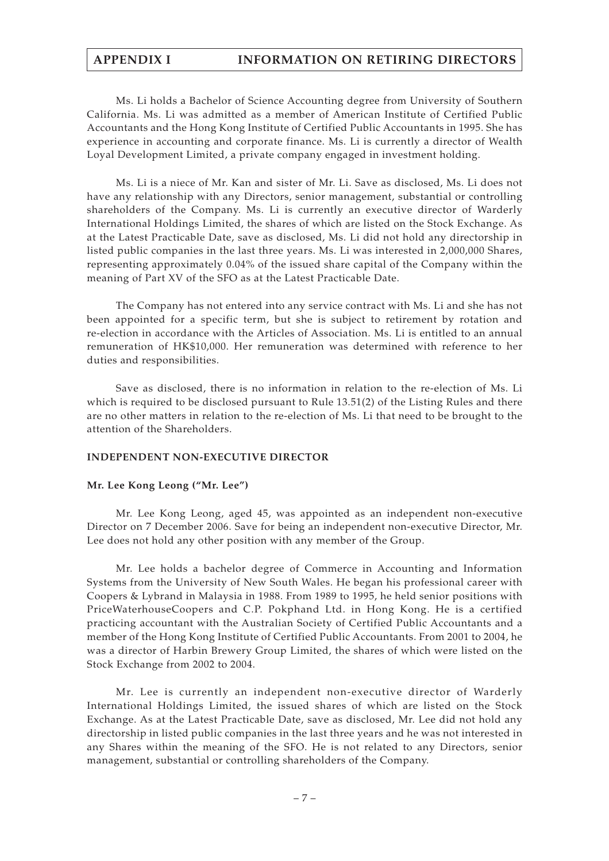# **APPENDIX I INFORMATION ON RETIRING DIRECTORS**

Ms. Li holds a Bachelor of Science Accounting degree from University of Southern California. Ms. Li was admitted as a member of American Institute of Certified Public Accountants and the Hong Kong Institute of Certified Public Accountants in 1995. She has experience in accounting and corporate finance. Ms. Li is currently a director of Wealth Loyal Development Limited, a private company engaged in investment holding.

Ms. Li is a niece of Mr. Kan and sister of Mr. Li. Save as disclosed, Ms. Li does not have any relationship with any Directors, senior management, substantial or controlling shareholders of the Company. Ms. Li is currently an executive director of Warderly International Holdings Limited, the shares of which are listed on the Stock Exchange. As at the Latest Practicable Date, save as disclosed, Ms. Li did not hold any directorship in listed public companies in the last three years. Ms. Li was interested in 2,000,000 Shares, representing approximately 0.04% of the issued share capital of the Company within the meaning of Part XV of the SFO as at the Latest Practicable Date.

The Company has not entered into any service contract with Ms. Li and she has not been appointed for a specific term, but she is subject to retirement by rotation and re-election in accordance with the Articles of Association. Ms. Li is entitled to an annual remuneration of HK\$10,000. Her remuneration was determined with reference to her duties and responsibilities.

Save as disclosed, there is no information in relation to the re-election of Ms. Li which is required to be disclosed pursuant to Rule 13.51(2) of the Listing Rules and there are no other matters in relation to the re-election of Ms. Li that need to be brought to the attention of the Shareholders.

### **INDEPENDENT NON-EXECUTIVE DIRECTOR**

#### **Mr. Lee Kong Leong ("Mr. Lee")**

Mr. Lee Kong Leong, aged 45, was appointed as an independent non-executive Director on 7 December 2006. Save for being an independent non-executive Director, Mr. Lee does not hold any other position with any member of the Group.

Mr. Lee holds a bachelor degree of Commerce in Accounting and Information Systems from the University of New South Wales. He began his professional career with Coopers & Lybrand in Malaysia in 1988. From 1989 to 1995, he held senior positions with PriceWaterhouseCoopers and C.P. Pokphand Ltd. in Hong Kong. He is a certified practicing accountant with the Australian Society of Certified Public Accountants and a member of the Hong Kong Institute of Certified Public Accountants. From 2001 to 2004, he was a director of Harbin Brewery Group Limited, the shares of which were listed on the Stock Exchange from 2002 to 2004.

Mr. Lee is currently an independent non-executive director of Warderly International Holdings Limited, the issued shares of which are listed on the Stock Exchange. As at the Latest Practicable Date, save as disclosed, Mr. Lee did not hold any directorship in listed public companies in the last three years and he was not interested in any Shares within the meaning of the SFO. He is not related to any Directors, senior management, substantial or controlling shareholders of the Company.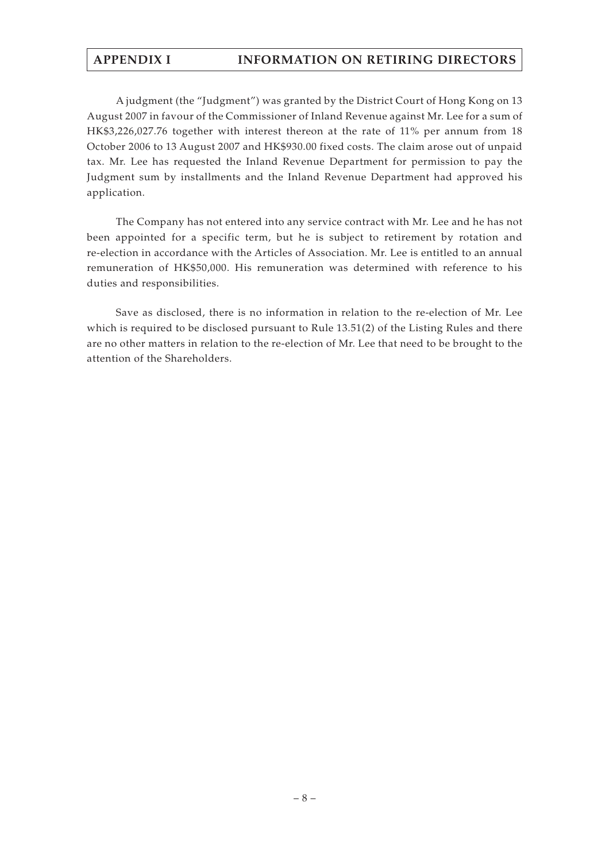# **APPENDIX I INFORMATION ON RETIRING DIRECTORS**

A judgment (the "Judgment") was granted by the District Court of Hong Kong on 13 August 2007 in favour of the Commissioner of Inland Revenue against Mr. Lee for a sum of HK\$3,226,027.76 together with interest thereon at the rate of 11% per annum from 18 October 2006 to 13 August 2007 and HK\$930.00 fixed costs. The claim arose out of unpaid tax. Mr. Lee has requested the Inland Revenue Department for permission to pay the Judgment sum by installments and the Inland Revenue Department had approved his application.

The Company has not entered into any service contract with Mr. Lee and he has not been appointed for a specific term, but he is subject to retirement by rotation and re-election in accordance with the Articles of Association. Mr. Lee is entitled to an annual remuneration of HK\$50,000. His remuneration was determined with reference to his duties and responsibilities.

Save as disclosed, there is no information in relation to the re-election of Mr. Lee which is required to be disclosed pursuant to Rule 13.51(2) of the Listing Rules and there are no other matters in relation to the re-election of Mr. Lee that need to be brought to the attention of the Shareholders.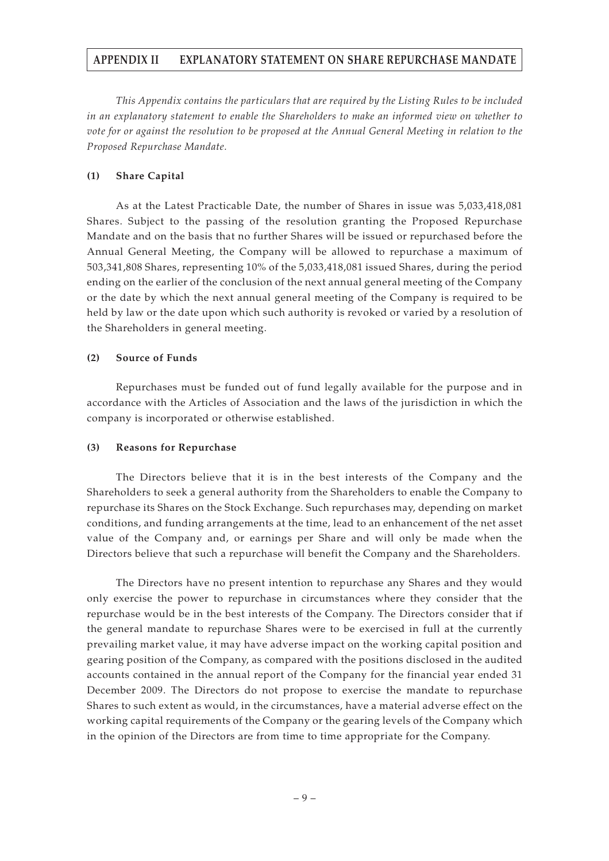### **APPENDIX II EXPLANATORY STATEMENT ON SHARE REPURCHASE MANDATE**

*This Appendix contains the particulars that are required by the Listing Rules to be included in an explanatory statement to enable the Shareholders to make an informed view on whether to vote for or against the resolution to be proposed at the Annual General Meeting in relation to the Proposed Repurchase Mandate.*

### **(1) Share Capital**

As at the Latest Practicable Date, the number of Shares in issue was 5,033,418,081 Shares. Subject to the passing of the resolution granting the Proposed Repurchase Mandate and on the basis that no further Shares will be issued or repurchased before the Annual General Meeting, the Company will be allowed to repurchase a maximum of 503,341,808 Shares, representing 10% of the 5,033,418,081 issued Shares, during the period ending on the earlier of the conclusion of the next annual general meeting of the Company or the date by which the next annual general meeting of the Company is required to be held by law or the date upon which such authority is revoked or varied by a resolution of the Shareholders in general meeting.

#### **(2) Source of Funds**

Repurchases must be funded out of fund legally available for the purpose and in accordance with the Articles of Association and the laws of the jurisdiction in which the company is incorporated or otherwise established.

### **(3) Reasons for Repurchase**

The Directors believe that it is in the best interests of the Company and the Shareholders to seek a general authority from the Shareholders to enable the Company to repurchase its Shares on the Stock Exchange. Such repurchases may, depending on market conditions, and funding arrangements at the time, lead to an enhancement of the net asset value of the Company and, or earnings per Share and will only be made when the Directors believe that such a repurchase will benefit the Company and the Shareholders.

The Directors have no present intention to repurchase any Shares and they would only exercise the power to repurchase in circumstances where they consider that the repurchase would be in the best interests of the Company. The Directors consider that if the general mandate to repurchase Shares were to be exercised in full at the currently prevailing market value, it may have adverse impact on the working capital position and gearing position of the Company, as compared with the positions disclosed in the audited accounts contained in the annual report of the Company for the financial year ended 31 December 2009. The Directors do not propose to exercise the mandate to repurchase Shares to such extent as would, in the circumstances, have a material adverse effect on the working capital requirements of the Company or the gearing levels of the Company which in the opinion of the Directors are from time to time appropriate for the Company.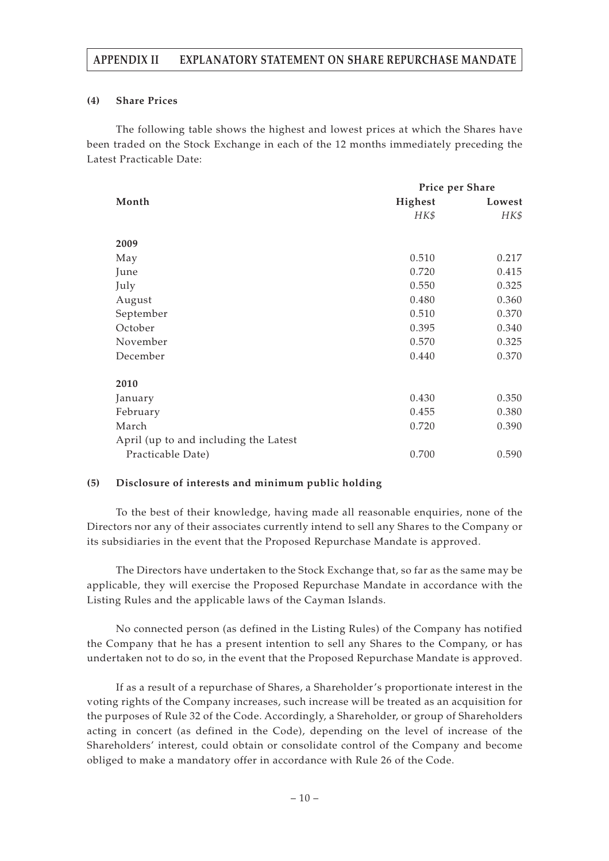### **APPENDIX II EXPLANATORY STATEMENT ON SHARE REPURCHASE MANDATE**

#### **(4) Share Prices**

The following table shows the highest and lowest prices at which the Shares have been traded on the Stock Exchange in each of the 12 months immediately preceding the Latest Practicable Date:

|                                       | Price per Share |        |
|---------------------------------------|-----------------|--------|
| Month                                 | Highest         | Lowest |
|                                       | HK\$            | HK\$   |
| 2009                                  |                 |        |
| May                                   | 0.510           | 0.217  |
| June                                  | 0.720           | 0.415  |
| July                                  | 0.550           | 0.325  |
| August                                | 0.480           | 0.360  |
| September                             | 0.510           | 0.370  |
| October                               | 0.395           | 0.340  |
| November                              | 0.570           | 0.325  |
| December                              | 0.440           | 0.370  |
| 2010                                  |                 |        |
| January                               | 0.430           | 0.350  |
| February                              | 0.455           | 0.380  |
| March                                 | 0.720           | 0.390  |
| April (up to and including the Latest |                 |        |
| Practicable Date)                     | 0.700           | 0.590  |

### **(5) Disclosure of interests and minimum public holding**

To the best of their knowledge, having made all reasonable enquiries, none of the Directors nor any of their associates currently intend to sell any Shares to the Company or its subsidiaries in the event that the Proposed Repurchase Mandate is approved.

The Directors have undertaken to the Stock Exchange that, so far as the same may be applicable, they will exercise the Proposed Repurchase Mandate in accordance with the Listing Rules and the applicable laws of the Cayman Islands.

No connected person (as defined in the Listing Rules) of the Company has notified the Company that he has a present intention to sell any Shares to the Company, or has undertaken not to do so, in the event that the Proposed Repurchase Mandate is approved.

If as a result of a repurchase of Shares, a Shareholder's proportionate interest in the voting rights of the Company increases, such increase will be treated as an acquisition for the purposes of Rule 32 of the Code. Accordingly, a Shareholder, or group of Shareholders acting in concert (as defined in the Code), depending on the level of increase of the Shareholders' interest, could obtain or consolidate control of the Company and become obliged to make a mandatory offer in accordance with Rule 26 of the Code.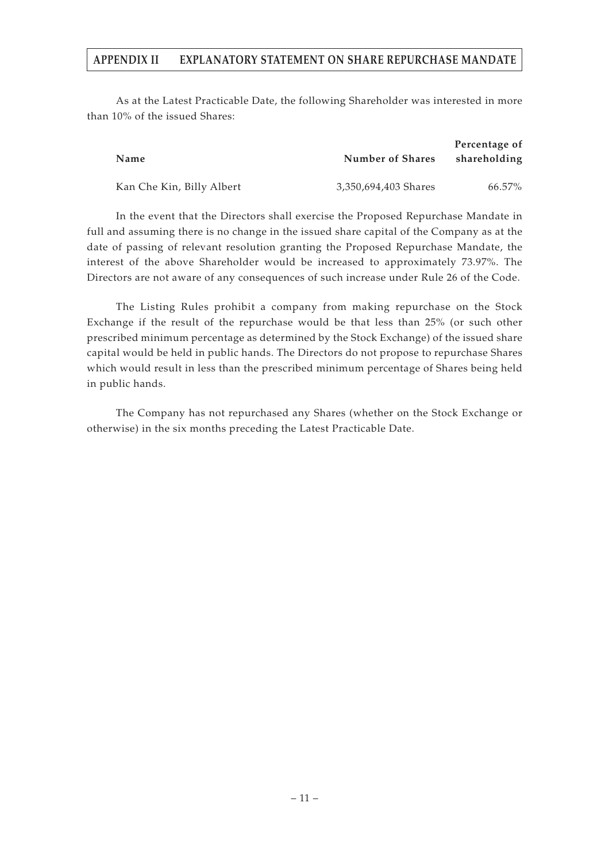### **APPENDIX II EXPLANATORY STATEMENT ON SHARE REPURCHASE MANDATE**

As at the Latest Practicable Date, the following Shareholder was interested in more than 10% of the issued Shares:

| <b>Name</b>               | <b>Number of Shares</b> | Percentage of<br>shareholding |
|---------------------------|-------------------------|-------------------------------|
| Kan Che Kin, Billy Albert | 3,350,694,403 Shares    | $66.57\%$                     |

In the event that the Directors shall exercise the Proposed Repurchase Mandate in full and assuming there is no change in the issued share capital of the Company as at the date of passing of relevant resolution granting the Proposed Repurchase Mandate, the interest of the above Shareholder would be increased to approximately 73.97%. The Directors are not aware of any consequences of such increase under Rule 26 of the Code.

The Listing Rules prohibit a company from making repurchase on the Stock Exchange if the result of the repurchase would be that less than 25% (or such other prescribed minimum percentage as determined by the Stock Exchange) of the issued share capital would be held in public hands. The Directors do not propose to repurchase Shares which would result in less than the prescribed minimum percentage of Shares being held in public hands.

The Company has not repurchased any Shares (whether on the Stock Exchange or otherwise) in the six months preceding the Latest Practicable Date.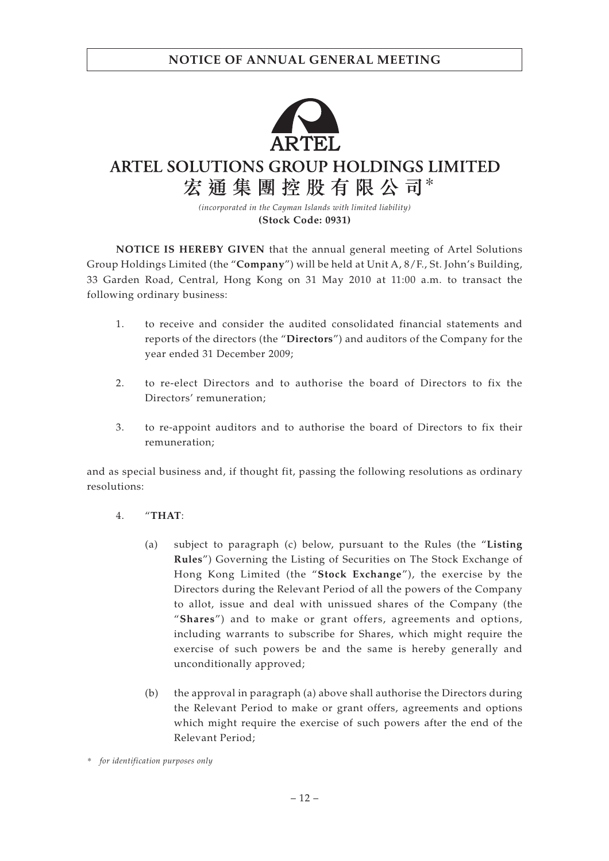

ARTEL SOLUTIONS GROUP HOLDINGS LIMITED 宏通集團控股有限公司\*

> *(incorporated in the Cayman Islands with limited liability)* **(Stock Code: 0931)**

**NOTICE IS HEREBY GIVEN** that the annual general meeting of Artel Solutions Group Holdings Limited (the "**Company**") will be held at Unit A, 8/F., St. John's Building, 33 Garden Road, Central, Hong Kong on 31 May 2010 at 11:00 a.m. to transact the following ordinary business:

- 1. to receive and consider the audited consolidated financial statements and reports of the directors (the "**Directors**") and auditors of the Company for the year ended 31 December 2009;
- 2. to re-elect Directors and to authorise the board of Directors to fix the Directors' remuneration;
- 3. to re-appoint auditors and to authorise the board of Directors to fix their remuneration;

and as special business and, if thought fit, passing the following resolutions as ordinary resolutions:

- 4. "**THAT**:
	- (a) subject to paragraph (c) below, pursuant to the Rules (the "**Listing Rules**") Governing the Listing of Securities on The Stock Exchange of Hong Kong Limited (the "**Stock Exchange**"), the exercise by the Directors during the Relevant Period of all the powers of the Company to allot, issue and deal with unissued shares of the Company (the "**Shares**") and to make or grant offers, agreements and options, including warrants to subscribe for Shares, which might require the exercise of such powers be and the same is hereby generally and unconditionally approved;
	- (b) the approval in paragraph (a) above shall authorise the Directors during the Relevant Period to make or grant offers, agreements and options which might require the exercise of such powers after the end of the Relevant Period;

*\* for identification purposes only*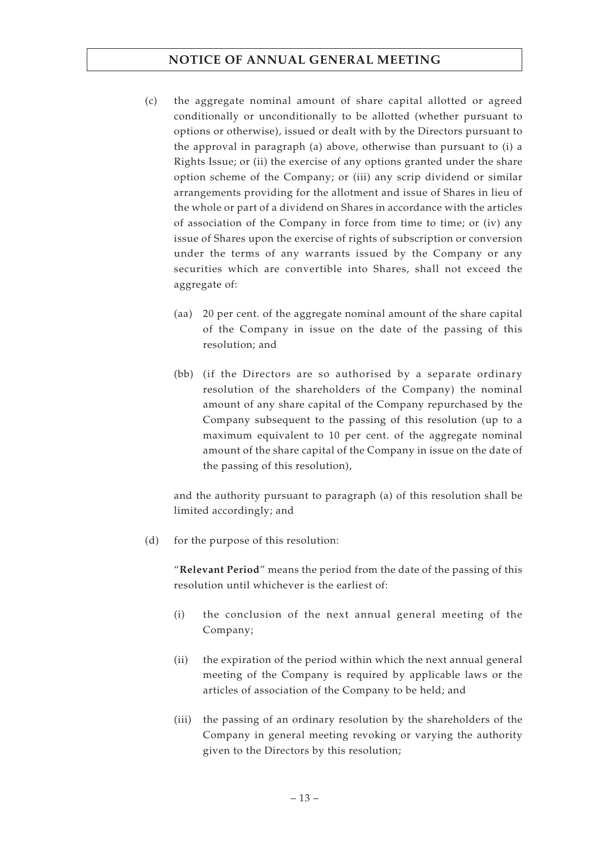# **NOTICE OF ANNUAL GENERAL MEETING**

- (c) the aggregate nominal amount of share capital allotted or agreed conditionally or unconditionally to be allotted (whether pursuant to options or otherwise), issued or dealt with by the Directors pursuant to the approval in paragraph (a) above, otherwise than pursuant to (i) a Rights Issue; or (ii) the exercise of any options granted under the share option scheme of the Company; or (iii) any scrip dividend or similar arrangements providing for the allotment and issue of Shares in lieu of the whole or part of a dividend on Shares in accordance with the articles of association of the Company in force from time to time; or (iv) any issue of Shares upon the exercise of rights of subscription or conversion under the terms of any warrants issued by the Company or any securities which are convertible into Shares, shall not exceed the aggregate of:
	- (aa) 20 per cent. of the aggregate nominal amount of the share capital of the Company in issue on the date of the passing of this resolution; and
	- (bb) (if the Directors are so authorised by a separate ordinary resolution of the shareholders of the Company) the nominal amount of any share capital of the Company repurchased by the Company subsequent to the passing of this resolution (up to a maximum equivalent to 10 per cent. of the aggregate nominal amount of the share capital of the Company in issue on the date of the passing of this resolution),

and the authority pursuant to paragraph (a) of this resolution shall be limited accordingly; and

(d) for the purpose of this resolution:

"**Relevant Period**" means the period from the date of the passing of this resolution until whichever is the earliest of:

- (i) the conclusion of the next annual general meeting of the Company;
- (ii) the expiration of the period within which the next annual general meeting of the Company is required by applicable laws or the articles of association of the Company to be held; and
- (iii) the passing of an ordinary resolution by the shareholders of the Company in general meeting revoking or varying the authority given to the Directors by this resolution;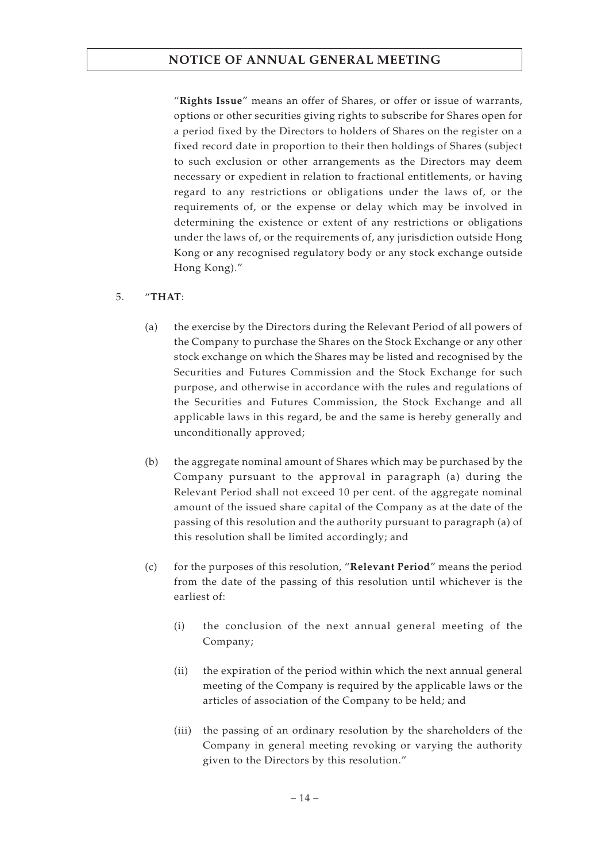# **NOTICE OF ANNUAL GENERAL MEETING**

"**Rights Issue**" means an offer of Shares, or offer or issue of warrants, options or other securities giving rights to subscribe for Shares open for a period fixed by the Directors to holders of Shares on the register on a fixed record date in proportion to their then holdings of Shares (subject to such exclusion or other arrangements as the Directors may deem necessary or expedient in relation to fractional entitlements, or having regard to any restrictions or obligations under the laws of, or the requirements of, or the expense or delay which may be involved in determining the existence or extent of any restrictions or obligations under the laws of, or the requirements of, any jurisdiction outside Hong Kong or any recognised regulatory body or any stock exchange outside Hong Kong)."

### 5. "**THAT**:

- (a) the exercise by the Directors during the Relevant Period of all powers of the Company to purchase the Shares on the Stock Exchange or any other stock exchange on which the Shares may be listed and recognised by the Securities and Futures Commission and the Stock Exchange for such purpose, and otherwise in accordance with the rules and regulations of the Securities and Futures Commission, the Stock Exchange and all applicable laws in this regard, be and the same is hereby generally and unconditionally approved;
- (b) the aggregate nominal amount of Shares which may be purchased by the Company pursuant to the approval in paragraph (a) during the Relevant Period shall not exceed 10 per cent. of the aggregate nominal amount of the issued share capital of the Company as at the date of the passing of this resolution and the authority pursuant to paragraph (a) of this resolution shall be limited accordingly; and
- (c) for the purposes of this resolution, "**Relevant Period**" means the period from the date of the passing of this resolution until whichever is the earliest of:
	- (i) the conclusion of the next annual general meeting of the Company;
	- (ii) the expiration of the period within which the next annual general meeting of the Company is required by the applicable laws or the articles of association of the Company to be held; and
	- (iii) the passing of an ordinary resolution by the shareholders of the Company in general meeting revoking or varying the authority given to the Directors by this resolution."